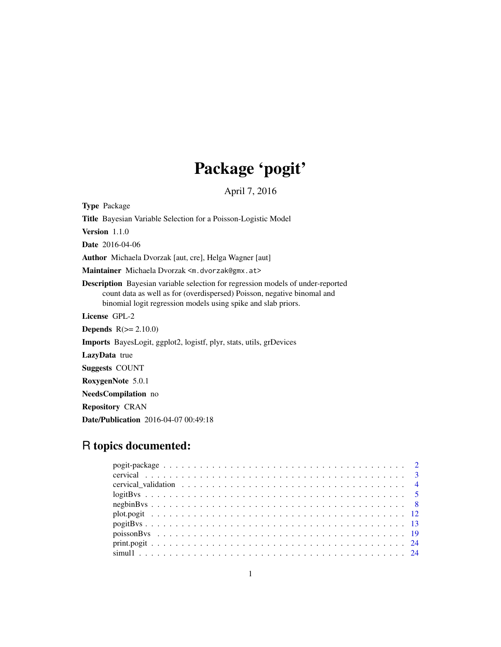# Package 'pogit'

April 7, 2016

<span id="page-0-0"></span>Type Package Title Bayesian Variable Selection for a Poisson-Logistic Model Version 1.1.0 Date 2016-04-06 Author Michaela Dvorzak [aut, cre], Helga Wagner [aut] Maintainer Michaela Dvorzak <m.dvorzak@gmx.at> Description Bayesian variable selection for regression models of under-reported count data as well as for (overdispersed) Poisson, negative binomal and binomial logit regression models using spike and slab priors. License GPL-2 **Depends**  $R(>= 2.10.0)$ Imports BayesLogit, ggplot2, logistf, plyr, stats, utils, grDevices LazyData true Suggests COUNT RoxygenNote 5.0.1 NeedsCompilation no Repository CRAN Date/Publication 2016-04-07 00:49:18

# R topics documented: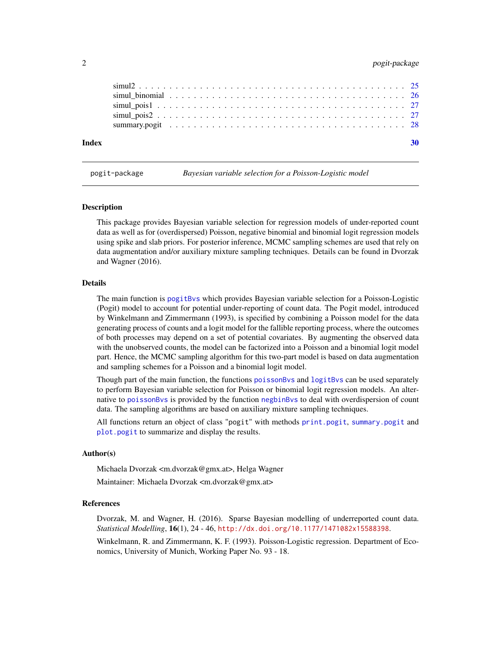# <span id="page-1-0"></span>2 pogit-package

| Index |  |  |  |  |  |  |  |  |  |  |  |  |  |  |  |  |  |  |  |  |
|-------|--|--|--|--|--|--|--|--|--|--|--|--|--|--|--|--|--|--|--|--|
|       |  |  |  |  |  |  |  |  |  |  |  |  |  |  |  |  |  |  |  |  |
|       |  |  |  |  |  |  |  |  |  |  |  |  |  |  |  |  |  |  |  |  |
|       |  |  |  |  |  |  |  |  |  |  |  |  |  |  |  |  |  |  |  |  |
|       |  |  |  |  |  |  |  |  |  |  |  |  |  |  |  |  |  |  |  |  |
|       |  |  |  |  |  |  |  |  |  |  |  |  |  |  |  |  |  |  |  |  |

pogit-package *Bayesian variable selection for a Poisson-Logistic model*

# Description

This package provides Bayesian variable selection for regression models of under-reported count data as well as for (overdispersed) Poisson, negative binomial and binomial logit regression models using spike and slab priors. For posterior inference, MCMC sampling schemes are used that rely on data augmentation and/or auxiliary mixture sampling techniques. Details can be found in Dvorzak and Wagner (2016).

# Details

The main function is [pogitBvs](#page-12-1) which provides Bayesian variable selection for a Poisson-Logistic (Pogit) model to account for potential under-reporting of count data. The Pogit model, introduced by Winkelmann and Zimmermann (1993), is specified by combining a Poisson model for the data generating process of counts and a logit model for the fallible reporting process, where the outcomes of both processes may depend on a set of potential covariates. By augmenting the observed data with the unobserved counts, the model can be factorized into a Poisson and a binomial logit model part. Hence, the MCMC sampling algorithm for this two-part model is based on data augmentation and sampling schemes for a Poisson and a binomial logit model.

Though part of the main function, the functions [poissonBvs](#page-18-1) and [logitBvs](#page-4-1) can be used separately to perform Bayesian variable selection for Poisson or binomial logit regression models. An alternative to [poissonBvs](#page-18-1) is provided by the function [negbinBvs](#page-7-1) to deal with overdispersion of count data. The sampling algorithms are based on auxiliary mixture sampling techniques.

All functions return an object of class "pogit" with methods [print.pogit](#page-23-1), [summary.pogit](#page-27-1) and [plot.pogit](#page-11-1) to summarize and display the results.

# Author(s)

Michaela Dvorzak <m.dvorzak@gmx.at>, Helga Wagner

Maintainer: Michaela Dvorzak <m.dvorzak@gmx.at>

# References

Dvorzak, M. and Wagner, H. (2016). Sparse Bayesian modelling of underreported count data. *Statistical Modelling*, 16(1), 24 - 46, <http://dx.doi.org/10.1177/1471082x15588398>.

Winkelmann, R. and Zimmermann, K. F. (1993). Poisson-Logistic regression. Department of Economics, University of Munich, Working Paper No. 93 - 18.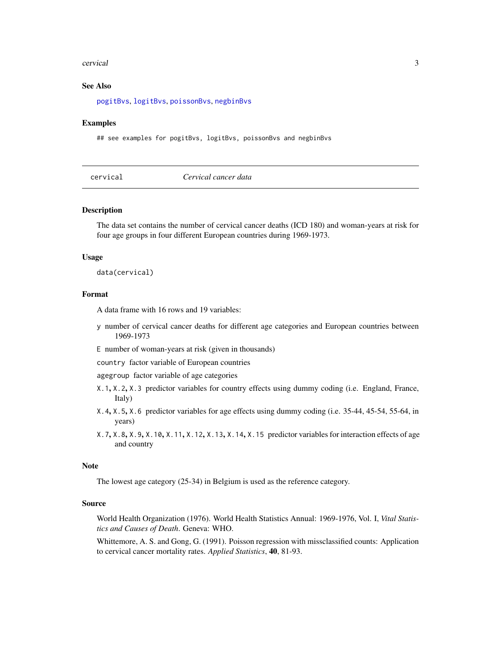# <span id="page-2-0"></span>cervical 3

# See Also

[pogitBvs](#page-12-1), [logitBvs](#page-4-1), [poissonBvs](#page-18-1), [negbinBvs](#page-7-1)

# Examples

## see examples for pogitBvs, logitBvs, poissonBvs and negbinBvs

<span id="page-2-1"></span>

| cervical |  |
|----------|--|

cervical *Cervical cancer data*

# Description

The data set contains the number of cervical cancer deaths (ICD 180) and woman-years at risk for four age groups in four different European countries during 1969-1973.

# Usage

data(cervical)

# Format

A data frame with 16 rows and 19 variables:

- y number of cervical cancer deaths for different age categories and European countries between 1969-1973
- E number of woman-years at risk (given in thousands)
- country factor variable of European countries

agegroup factor variable of age categories

- X.1, X.2, X.3 predictor variables for country effects using dummy coding (i.e. England, France, Italy)
- X.4, X.5, X.6 predictor variables for age effects using dummy coding (i.e. 35-44, 45-54, 55-64, in years)
- X.7, X.8, X.9, X.10, X.11, X.12, X.13, X.14, X.15 predictor variables for interaction effects of age and country

# **Note**

The lowest age category (25-34) in Belgium is used as the reference category.

# Source

World Health Organization (1976). World Health Statistics Annual: 1969-1976, Vol. I, *Vital Statistics and Causes of Death*. Geneva: WHO.

Whittemore, A. S. and Gong, G. (1991). Poisson regression with missclassified counts: Application to cervical cancer mortality rates. *Applied Statistics*, 40, 81-93.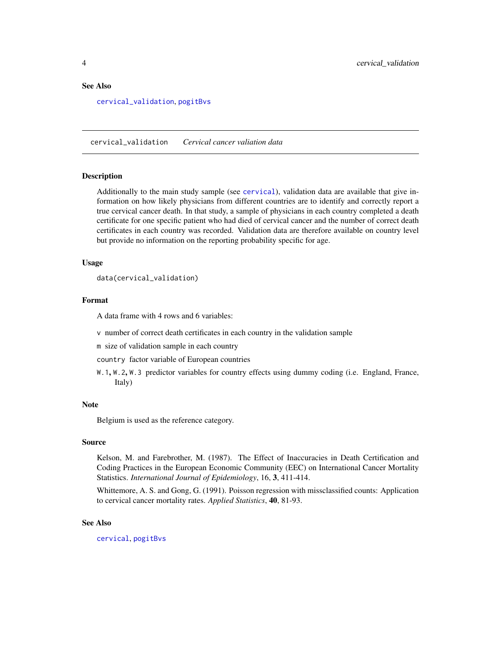# <span id="page-3-0"></span>See Also

[cervical\\_validation](#page-3-1), [pogitBvs](#page-12-1)

<span id="page-3-1"></span>cervical\_validation *Cervical cancer valiation data*

# Description

Additionally to the main study sample (see [cervical](#page-2-1)), validation data are available that give information on how likely physicians from different countries are to identify and correctly report a true cervical cancer death. In that study, a sample of physicians in each country completed a death certificate for one specific patient who had died of cervical cancer and the number of correct death certificates in each country was recorded. Validation data are therefore available on country level but provide no information on the reporting probability specific for age.

#### Usage

data(cervical\_validation)

# Format

A data frame with 4 rows and 6 variables:

v number of correct death certificates in each country in the validation sample

m size of validation sample in each country

country factor variable of European countries

W.1, W.2, W.3 predictor variables for country effects using dummy coding (i.e. England, France, Italy)

#### Note

Belgium is used as the reference category.

# Source

Kelson, M. and Farebrother, M. (1987). The Effect of Inaccuracies in Death Certification and Coding Practices in the European Economic Community (EEC) on International Cancer Mortality Statistics. *International Journal of Epidemiology*, 16, 3, 411-414.

Whittemore, A. S. and Gong, G. (1991). Poisson regression with missclassified counts: Application to cervical cancer mortality rates. *Applied Statistics*, 40, 81-93.

# See Also

[cervical](#page-2-1), [pogitBvs](#page-12-1)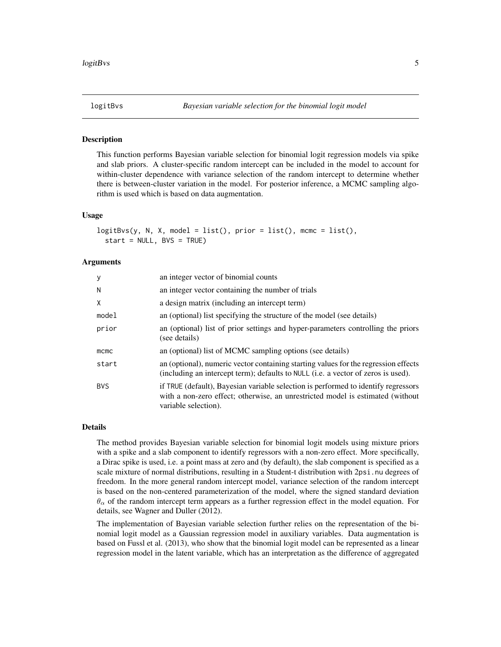<span id="page-4-1"></span><span id="page-4-0"></span>

# Description

This function performs Bayesian variable selection for binomial logit regression models via spike and slab priors. A cluster-specific random intercept can be included in the model to account for within-cluster dependence with variance selection of the random intercept to determine whether there is between-cluster variation in the model. For posterior inference, a MCMC sampling algorithm is used which is based on data augmentation.

# Usage

```
logitBvs(y, N, X, model = list(), prior = list(), more = list(),start = NULL, BVS = TRUE)
```
#### Arguments

| y          | an integer vector of binomial counts                                                                                                                                                         |
|------------|----------------------------------------------------------------------------------------------------------------------------------------------------------------------------------------------|
| N          | an integer vector containing the number of trials                                                                                                                                            |
| X          | a design matrix (including an intercept term)                                                                                                                                                |
| model      | an (optional) list specifying the structure of the model (see details)                                                                                                                       |
| prior      | an (optional) list of prior settings and hyper-parameters controlling the priors<br>(see details)                                                                                            |
| $m$ cmc    | an (optional) list of MCMC sampling options (see details)                                                                                                                                    |
| start      | an (optional), numeric vector containing starting values for the regression effects<br>(including an intercept term); defaults to NULL (i.e. a vector of zeros is used).                     |
| <b>BVS</b> | if TRUE (default), Bayesian variable selection is performed to identify regressors<br>with a non-zero effect; otherwise, an unrestricted model is estimated (without<br>variable selection). |

# Details

The method provides Bayesian variable selection for binomial logit models using mixture priors with a spike and a slab component to identify regressors with a non-zero effect. More specifically, a Dirac spike is used, i.e. a point mass at zero and (by default), the slab component is specified as a scale mixture of normal distributions, resulting in a Student-t distribution with 2psi.nu degrees of freedom. In the more general random intercept model, variance selection of the random intercept is based on the non-centered parameterization of the model, where the signed standard deviation  $\theta_{\alpha}$  of the random intercept term appears as a further regression effect in the model equation. For details, see Wagner and Duller (2012).

The implementation of Bayesian variable selection further relies on the representation of the binomial logit model as a Gaussian regression model in auxiliary variables. Data augmentation is based on Fussl et al. (2013), who show that the binomial logit model can be represented as a linear regression model in the latent variable, which has an interpretation as the difference of aggregated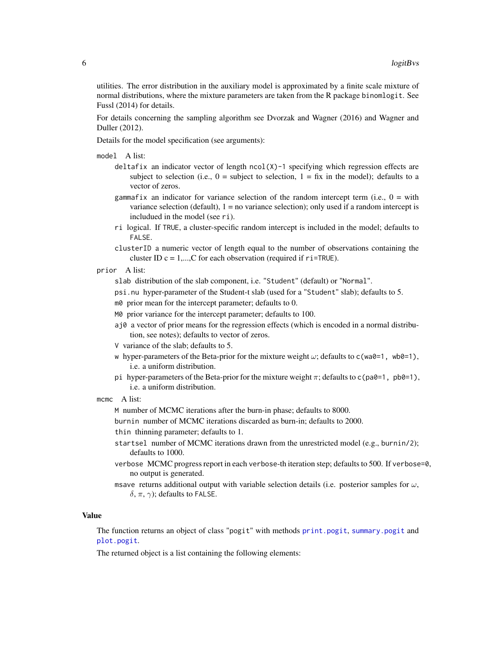<span id="page-5-0"></span>utilities. The error distribution in the auxiliary model is approximated by a finite scale mixture of normal distributions, where the mixture parameters are taken from the R package binomlogit. See Fussl (2014) for details.

For details concerning the sampling algorithm see Dvorzak and Wagner (2016) and Wagner and Duller (2012).

Details for the model specification (see arguments):

model A list:

- deltafix an indicator vector of length ncol(X)-1 specifying which regression effects are subject to selection (i.e.,  $0 =$  subject to selection,  $1 = fix$  in the model); defaults to a vector of zeros.
- gammafix an indicator for variance selection of the random intercept term (i.e.,  $0 =$  with variance selection (default),  $1 = no$  variance selection); only used if a random intercept is includued in the model (see ri).
- ri logical. If TRUE, a cluster-specific random intercept is included in the model; defaults to FALSE.
- clusterID a numeric vector of length equal to the number of observations containing the cluster ID  $c = 1,...,C$  for each observation (required if  $ri = TRUE$ ).
- prior A list:
	- slab distribution of the slab component, i.e. "Student" (default) or "Normal".
	- psi.nu hyper-parameter of the Student-t slab (used for a "Student" slab); defaults to 5.
	- m0 prior mean for the intercept parameter; defaults to 0.
	- M0 prior variance for the intercept parameter; defaults to 100.
	- aj0 a vector of prior means for the regression effects (which is encoded in a normal distribution, see notes); defaults to vector of zeros.
	- V variance of the slab; defaults to 5.
	- w hyper-parameters of the Beta-prior for the mixture weight  $\omega$ ; defaults to c(wa0=1, wb0=1), i.e. a uniform distribution.
	- pi hyper-parameters of the Beta-prior for the mixture weight  $\pi$ ; defaults to c(pa0=1, pb0=1), i.e. a uniform distribution.
- mcmc A list:

burnin number of MCMC iterations discarded as burn-in; defaults to 2000.

thin thinning parameter; defaults to 1.

- startsel number of MCMC iterations drawn from the unrestricted model (e.g., burnin/2); defaults to 1000.
- verbose MCMC progress report in each verbose-th iteration step; defaults to 500. If verbose=0, no output is generated.
- msave returns additional output with variable selection details (i.e. posterior samples for  $\omega$ , δ, π,  $\gamma$ ); defaults to FALSE.

# Value

The function returns an object of class "pogit" with methods [print.pogit](#page-23-1), [summary.pogit](#page-27-1) and [plot.pogit](#page-11-1).

The returned object is a list containing the following elements:

M number of MCMC iterations after the burn-in phase; defaults to 8000.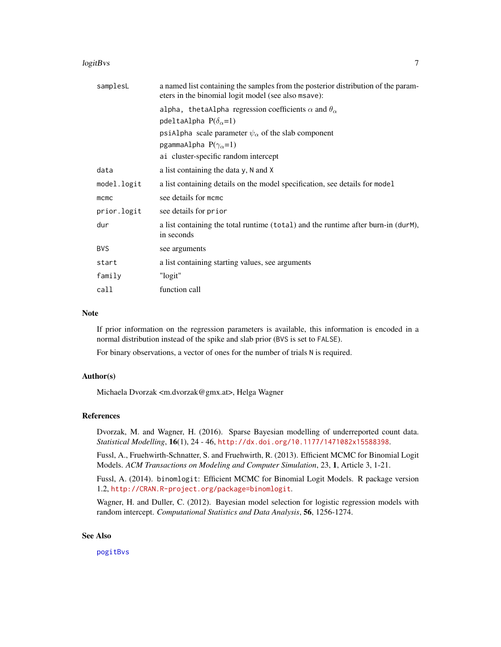# <span id="page-6-0"></span>logitBvs 7

| samplesL    | a named list containing the samples from the posterior distribution of the param-<br>eters in the binomial logit model (see also msave): |
|-------------|------------------------------------------------------------------------------------------------------------------------------------------|
|             | alpha, the taAlpha regression coefficients $\alpha$ and $\theta_{\alpha}$                                                                |
|             | pdeltaAlpha $P(\delta_{\alpha}=1)$                                                                                                       |
|             | psiAlpha scale parameter $\psi_{\alpha}$ of the slab component                                                                           |
|             | pgammaAlpha $P(\gamma_{\alpha}=1)$                                                                                                       |
|             | ai cluster-specific random intercept                                                                                                     |
| data        | a list containing the data y, N and X                                                                                                    |
| model.logit | a list containing details on the model specification, see details for model                                                              |
| mcmc        | see details for momo                                                                                                                     |
| prior.logit | see details for prior                                                                                                                    |
| dur         | a list containing the total runtime (total) and the runtime after burn-in (durM),<br>in seconds                                          |
| <b>BVS</b>  | see arguments                                                                                                                            |
| start       | a list containing starting values, see arguments                                                                                         |
| family      | "logit"                                                                                                                                  |
| call        | function call                                                                                                                            |

# Note

If prior information on the regression parameters is available, this information is encoded in a normal distribution instead of the spike and slab prior (BVS is set to FALSE).

For binary observations, a vector of ones for the number of trials N is required.

# Author(s)

Michaela Dvorzak <m.dvorzak@gmx.at>, Helga Wagner

# References

Dvorzak, M. and Wagner, H. (2016). Sparse Bayesian modelling of underreported count data. *Statistical Modelling*, 16(1), 24 - 46, <http://dx.doi.org/10.1177/1471082x15588398>.

Fussl, A., Fruehwirth-Schnatter, S. and Fruehwirth, R. (2013). Efficient MCMC for Binomial Logit Models. *ACM Transactions on Modeling and Computer Simulation*, 23, 1, Article 3, 1-21.

Fussl, A. (2014). binomlogit: Efficient MCMC for Binomial Logit Models. R package version 1.2, <http://CRAN.R-project.org/package=binomlogit>.

Wagner, H. and Duller, C. (2012). Bayesian model selection for logistic regression models with random intercept. *Computational Statistics and Data Analysis*, 56, 1256-1274.

# See Also

[pogitBvs](#page-12-1)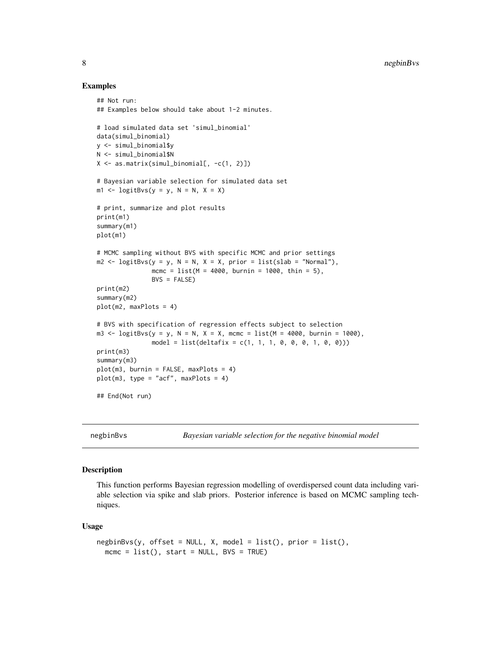# Examples

```
## Not run:
## Examples below should take about 1-2 minutes.
# load simulated data set 'simul binomial'
data(simul_binomial)
y <- simul_binomial$y
N <- simul_binomial$N
X \leftarrow \text{as_matrix}(\text{simul}\_\text{binomial}[, -c(1, 2)])# Bayesian variable selection for simulated data set
m1 \leftarrow logitBvs(y = y, N = N, X = X)
# print, summarize and plot results
print(m1)
summary(m1)
plot(m1)
# MCMC sampling without BVS with specific MCMC and prior settings
m2 \leq -\text{logitBvs}(y = y, N = N, X = X, prior = list(\text{slab} = "Normal"),mcmc = list(M = 4000, burnin = 1000, thin = 5),
               BVS = FALSE)
print(m2)
summary(m2)
plot(m2, maxPlots = 4)
# BVS with specification of regression effects subject to selection
m3 <- logitBvs(y = y, N = N, X = X, mcmc = list(M = 4000, burnin = 1000),
               model = list(detiafix = c(1, 1, 1, 0, 0, 1, 0, 0)))print(m3)
summary(m3)
plot(m3, burnin = FALSE, maxPlots = 4)
plot(m3, type = "acf", maxPlots = 4)
## End(Not run)
```
negbinBvs *Bayesian variable selection for the negative binomial model*

# Description

This function performs Bayesian regression modelling of overdispersed count data including variable selection via spike and slab priors. Posterior inference is based on MCMC sampling techniques.

# Usage

```
negbinBvs(y, offset = NULL, X, model = list(), prior = list(),mcmc = list(), start = NULL, BVS = TRUE)
```
<span id="page-7-0"></span>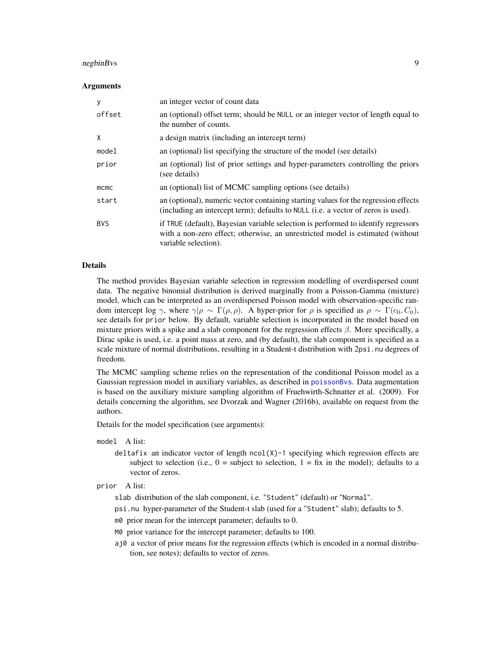# <span id="page-8-0"></span>negbinBvs 9

# Arguments

| У          | an integer vector of count data                                                                                                                                                              |
|------------|----------------------------------------------------------------------------------------------------------------------------------------------------------------------------------------------|
| offset     | an (optional) offset term; should be NULL or an integer vector of length equal to<br>the number of counts.                                                                                   |
| X          | a design matrix (including an intercept term)                                                                                                                                                |
| model      | an (optional) list specifying the structure of the model (see details)                                                                                                                       |
| prior      | an (optional) list of prior settings and hyper-parameters controlling the priors<br>(see details)                                                                                            |
| $m$ cmc    | an (optional) list of MCMC sampling options (see details)                                                                                                                                    |
| start      | an (optional), numeric vector containing starting values for the regression effects<br>(including an intercept term); defaults to NULL (i.e. a vector of zeros is used).                     |
| <b>BVS</b> | if TRUE (default), Bayesian variable selection is performed to identify regressors<br>with a non-zero effect; otherwise, an unrestricted model is estimated (without<br>variable selection). |

# Details

The method provides Bayesian variable selection in regression modelling of overdispersed count data. The negative binomial distribution is derived marginally from a Poisson-Gamma (mixture) model, which can be interpreted as an overdispersed Poisson model with observation-specific random intercept log  $\gamma$ , where  $\gamma|\rho \sim \Gamma(\rho, \rho)$ . A hyper-prior for  $\rho$  is specified as  $\rho \sim \Gamma(c_0, C_0)$ , see details for prior below. By default, variable selection is incorporated in the model based on mixture priors with a spike and a slab component for the regression effects  $\beta$ . More specifically, a Dirac spike is used, i.e. a point mass at zero, and (by default), the slab component is specified as a scale mixture of normal distributions, resulting in a Student-t distribution with 2psi.nu degrees of freedom.

The MCMC sampling scheme relies on the representation of the conditional Poisson model as a Gaussian regression model in auxiliary variables, as described in [poissonBvs](#page-18-1). Data augmentation is based on the auxiliary mixture sampling algorithm of Fruehwirth-Schnatter et al. (2009). For details concerning the algorithm, see Dvorzak and Wagner (2016b), available on request from the authors.

Details for the model specification (see arguments):

#### model A list:

- deltafix an indicator vector of length ncol(X)-1 specifying which regression effects are subject to selection (i.e.,  $0 =$  subject to selection,  $1 =$  fix in the model); defaults to a vector of zeros.
- prior A list:
	- slab distribution of the slab component, i.e. "Student" (default) or "Normal".
	- psi.nu hyper-parameter of the Student-t slab (used for a "Student" slab); defaults to 5.
	- m0 prior mean for the intercept parameter; defaults to 0.
	- M0 prior variance for the intercept parameter; defaults to 100.
	- aj0 a vector of prior means for the regression effects (which is encoded in a normal distribution, see notes); defaults to vector of zeros.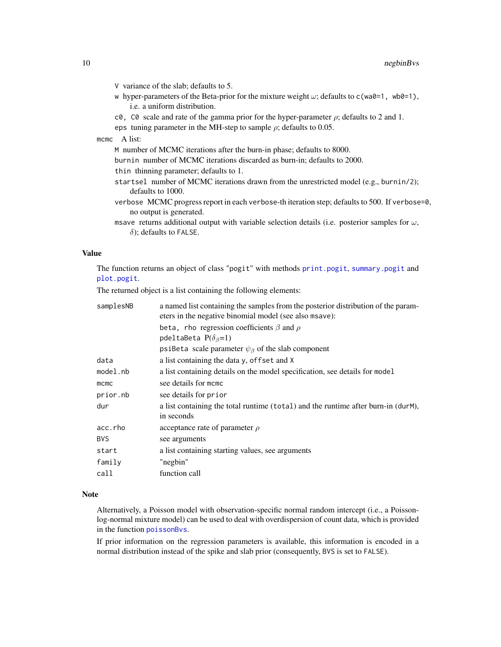- <span id="page-9-0"></span>V variance of the slab; defaults to 5.
- w hyper-parameters of the Beta-prior for the mixture weight  $\omega$ ; defaults to c(wa0=1, wb0=1), i.e. a uniform distribution.
- c0, C0 scale and rate of the gamma prior for the hyper-parameter  $\rho$ ; defaults to 2 and 1.
- eps tuning parameter in the MH-step to sample  $\rho$ ; defaults to 0.05.

# mcmc A list:

- M number of MCMC iterations after the burn-in phase; defaults to 8000.
- burnin number of MCMC iterations discarded as burn-in; defaults to 2000.
- thin thinning parameter; defaults to 1.
- startsel number of MCMC iterations drawn from the unrestricted model (e.g., burnin/2); defaults to 1000.
- verbose MCMC progress report in each verbose-th iteration step; defaults to 500. If verbose=0, no output is generated.
- msave returns additional output with variable selection details (i.e. posterior samples for  $\omega$ ,  $\delta$ ); defaults to FALSE.

# Value

The function returns an object of class "pogit" with methods [print.pogit](#page-23-1), [summary.pogit](#page-27-1) and [plot.pogit](#page-11-1).

The returned object is a list containing the following elements:

| samplesNB  | a named list containing the samples from the posterior distribution of the param-<br>eters in the negative binomial model (see also msave): |
|------------|---------------------------------------------------------------------------------------------------------------------------------------------|
|            | beta, rho regression coefficients $\beta$ and $\rho$                                                                                        |
|            | pdeltaBeta $P(\delta_{\beta}=1)$                                                                                                            |
|            | psiBeta scale parameter $\psi_{\beta}$ of the slab component                                                                                |
| data       | a list containing the data y, offset and X                                                                                                  |
| model.nb   | a list containing details on the model specification, see details for model                                                                 |
| $m$ cmc    | see details for momo                                                                                                                        |
| prior.nb   | see details for prior                                                                                                                       |
| dur        | a list containing the total runtime (total) and the runtime after burn-in (durM),<br>in seconds                                             |
| acc.rho    | acceptance rate of parameter $\rho$                                                                                                         |
| <b>BVS</b> | see arguments                                                                                                                               |
| start      | a list containing starting values, see arguments                                                                                            |
| family     | "negbin"                                                                                                                                    |
| call       | function call                                                                                                                               |

# Note

Alternatively, a Poisson model with observation-specific normal random intercept (i.e., a Poissonlog-normal mixture model) can be used to deal with overdispersion of count data, which is provided in the function [poissonBvs](#page-18-1).

If prior information on the regression parameters is available, this information is encoded in a normal distribution instead of the spike and slab prior (consequently, BVS is set to FALSE).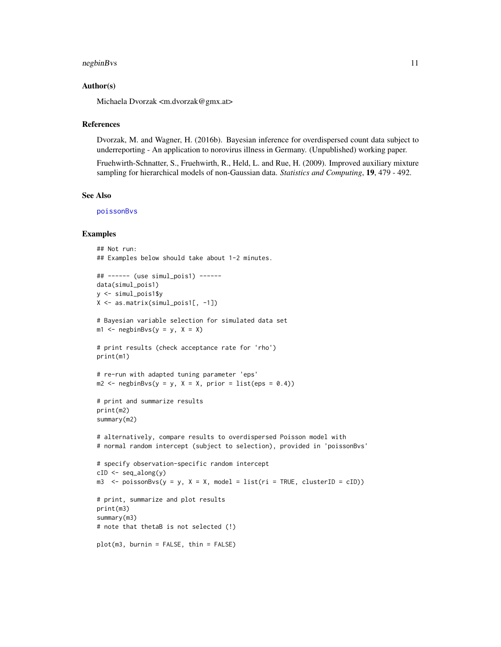# <span id="page-10-0"></span>negbinBvs 11

# Author(s)

Michaela Dvorzak <m.dvorzak@gmx.at>

# References

Dvorzak, M. and Wagner, H. (2016b). Bayesian inference for overdispersed count data subject to underreporting - An application to norovirus illness in Germany. (Unpublished) working paper.

Fruehwirth-Schnatter, S., Fruehwirth, R., Held, L. and Rue, H. (2009). Improved auxiliary mixture sampling for hierarchical models of non-Gaussian data. *Statistics and Computing*, 19, 479 - 492.

# See Also

[poissonBvs](#page-18-1)

# Examples

```
## Not run:
## Examples below should take about 1-2 minutes.
## ------ (use simul_pois1) ------
data(simul_pois1)
y <- simul_pois1$y
X <- as.matrix(simul_pois1[, -1])
# Bayesian variable selection for simulated data set
m1 \leq - negbinBvs(y = y, X = X)
# print results (check acceptance rate for 'rho')
print(m1)
# re-run with adapted tuning parameter 'eps'
m2 \leq - negbinBvs(y = y, X = X, prior = list(eps = 0.4))
# print and summarize results
print(m2)
summary(m2)
# alternatively, compare results to overdispersed Poisson model with
# normal random intercept (subject to selection), provided in 'poissonBvs'
# specify observation-specific random intercept
cID \leftarrow seq_along(y)m3 \le poissonBvs(y = y, X = X, model = list(ri = TRUE, clusterID = cID))
# print, summarize and plot results
print(m3)
summary(m3)
# note that thetaB is not selected (!)
plot(m3, burnin = FALSE, thin = FALSE)
```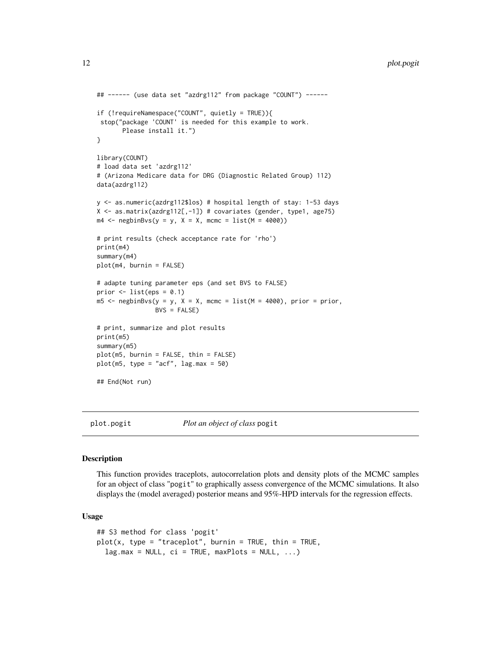```
## ------ (use data set "azdrg112" from package "COUNT") ------
if (!requireNamespace("COUNT", quietly = TRUE)){
 stop("package 'COUNT' is needed for this example to work.
       Please install it.")
}
library(COUNT)
# load data set 'azdrg112'
# (Arizona Medicare data for DRG (Diagnostic Related Group) 112)
data(azdrg112)
y <- as.numeric(azdrg112$los) # hospital length of stay: 1-53 days
X \leq - as.matrix(azdrg112[,-1]) # covariates (gender, type1, age75)
m4 \leq negbinBvs(y = y, X = X, mcmc = list(M = 4000))
# print results (check acceptance rate for 'rho')
print(m4)
summary(m4)
plot(m4, burnin = FALSE)
# adapte tuning parameter eps (and set BVS to FALSE)
prior \le list(eps = 0.1)
m5 < - negbinBvs(y = y, X = X, mcmc = list(M = 4000), prior = prior,
                BVS = FALSE# print, summarize and plot results
print(m5)
summary(m5)
plot(m5, burnin = FALSE, thin = FALSE)
plot(m5, type = "acf", \text{lag.max} = 50)
## End(Not run)
```
<span id="page-11-1"></span>plot.pogit *Plot an object of class* pogit

# Description

This function provides traceplots, autocorrelation plots and density plots of the MCMC samples for an object of class "pogit" to graphically assess convergence of the MCMC simulations. It also displays the (model averaged) posterior means and 95%-HPD intervals for the regression effects.

## Usage

```
## S3 method for class 'pogit'
plot(x, type = "traceplot", burnin = TRUE, thin = TRUE,lag.max = NULL, ci = TRUE, maxPlots = NULL, ...)
```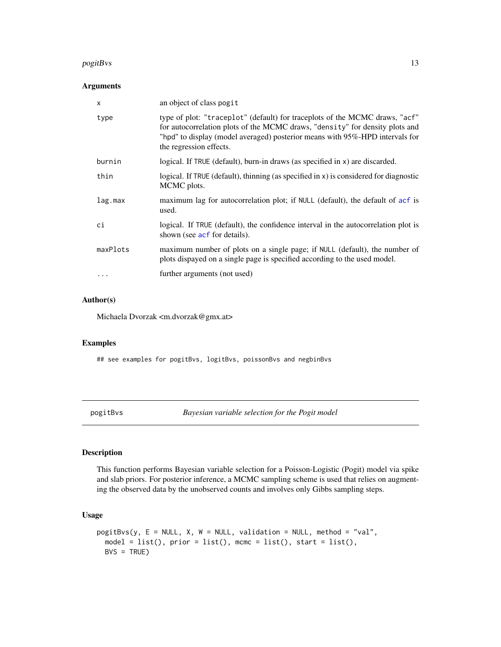# <span id="page-12-0"></span> $pogitBvs$  and the contract of the contract of the contract of the contract of the contract of the contract of the contract of the contract of the contract of the contract of the contract of the contract of the contract of th

# Arguments

| X        | an object of class pogit                                                                                                                                                                                                                                               |
|----------|------------------------------------------------------------------------------------------------------------------------------------------------------------------------------------------------------------------------------------------------------------------------|
| type     | type of plot: "traceplot" (default) for traceplots of the MCMC draws, "acf"<br>for autocorrelation plots of the MCMC draws, "density" for density plots and<br>"hpd" to display (model averaged) posterior means with 95%-HPD intervals for<br>the regression effects. |
| burnin   | logical. If TRUE (default), burn-in draws (as specified in x) are discarded.                                                                                                                                                                                           |
| thin     | logical. If TRUE (default), thinning (as specified in x) is considered for diagnostic<br>MCMC plots.                                                                                                                                                                   |
| lag.max  | maximum lag for autocorrelation plot; if NULL (default), the default of acf is<br>used.                                                                                                                                                                                |
| ci       | logical. If TRUE (default), the confidence interval in the autocorrelation plot is<br>shown (see acf for details).                                                                                                                                                     |
| maxPlots | maximum number of plots on a single page; if NULL (default), the number of<br>plots dispayed on a single page is specified according to the used model.                                                                                                                |
|          | further arguments (not used)                                                                                                                                                                                                                                           |

# Author(s)

Michaela Dvorzak <m.dvorzak@gmx.at>

# Examples

## see examples for pogitBvs, logitBvs, poissonBvs and negbinBvs

<span id="page-12-1"></span>pogitBvs *Bayesian variable selection for the Pogit model*

# Description

This function performs Bayesian variable selection for a Poisson-Logistic (Pogit) model via spike and slab priors. For posterior inference, a MCMC sampling scheme is used that relies on augmenting the observed data by the unobserved counts and involves only Gibbs sampling steps.

# Usage

```
pogitBvs(y, E = NULL, X, W = NULL, validation = NULL, method = "val",
 model = list(), prior = list(), mcmc = list(), start = list(),
 BVS = TRUE
```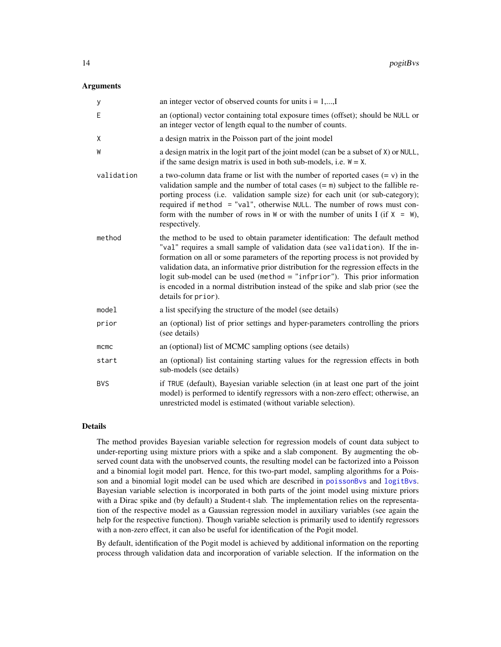# <span id="page-13-0"></span>Arguments

| у          | an integer vector of observed counts for units $i = 1,,I$                                                                                                                                                                                                                                                                                                                                                                                                                                                                          |
|------------|------------------------------------------------------------------------------------------------------------------------------------------------------------------------------------------------------------------------------------------------------------------------------------------------------------------------------------------------------------------------------------------------------------------------------------------------------------------------------------------------------------------------------------|
| E          | an (optional) vector containing total exposure times (offset); should be NULL or<br>an integer vector of length equal to the number of counts.                                                                                                                                                                                                                                                                                                                                                                                     |
| X          | a design matrix in the Poisson part of the joint model                                                                                                                                                                                                                                                                                                                                                                                                                                                                             |
| W          | a design matrix in the logit part of the joint model (can be a subset of X) or NULL,<br>if the same design matrix is used in both sub-models, i.e. $W = X$ .                                                                                                                                                                                                                                                                                                                                                                       |
| validation | a two-column data frame or list with the number of reported cases $(= v)$ in the<br>validation sample and the number of total cases $(=\mathbf{m})$ subject to the fallible re-<br>porting process (i.e. validation sample size) for each unit (or sub-category);<br>required if method = "val", otherwise NULL. The number of rows must con-<br>form with the number of rows in $W$ or with the number of units I (if $X = W$ ),<br>respectively.                                                                                 |
| method     | the method to be used to obtain parameter identification: The default method<br>"val" requires a small sample of validation data (see validation). If the in-<br>formation on all or some parameters of the reporting process is not provided by<br>validation data, an informative prior distribution for the regression effects in the<br>logit sub-model can be used (method $=$ "infprior"). This prior information<br>is encoded in a normal distribution instead of the spike and slab prior (see the<br>details for prior). |
| model      | a list specifying the structure of the model (see details)                                                                                                                                                                                                                                                                                                                                                                                                                                                                         |
| prior      | an (optional) list of prior settings and hyper-parameters controlling the priors<br>(see details)                                                                                                                                                                                                                                                                                                                                                                                                                                  |
| mcmc       | an (optional) list of MCMC sampling options (see details)                                                                                                                                                                                                                                                                                                                                                                                                                                                                          |
| start      | an (optional) list containing starting values for the regression effects in both<br>sub-models (see details)                                                                                                                                                                                                                                                                                                                                                                                                                       |
| <b>BVS</b> | if TRUE (default), Bayesian variable selection (in at least one part of the joint<br>model) is performed to identify regressors with a non-zero effect; otherwise, an<br>unrestricted model is estimated (without variable selection).                                                                                                                                                                                                                                                                                             |

#### Details

The method provides Bayesian variable selection for regression models of count data subject to under-reporting using mixture priors with a spike and a slab component. By augmenting the observed count data with the unobserved counts, the resulting model can be factorized into a Poisson and a binomial logit model part. Hence, for this two-part model, sampling algorithms for a Poisson and a binomial logit model can be used which are described in [poissonBvs](#page-18-1) and [logitBvs](#page-4-1). Bayesian variable selection is incorporated in both parts of the joint model using mixture priors with a Dirac spike and (by default) a Student-t slab. The implementation relies on the representation of the respective model as a Gaussian regression model in auxiliary variables (see again the help for the respective function). Though variable selection is primarily used to identify regressors with a non-zero effect, it can also be useful for identification of the Pogit model.

By default, identification of the Pogit model is achieved by additional information on the reporting process through validation data and incorporation of variable selection. If the information on the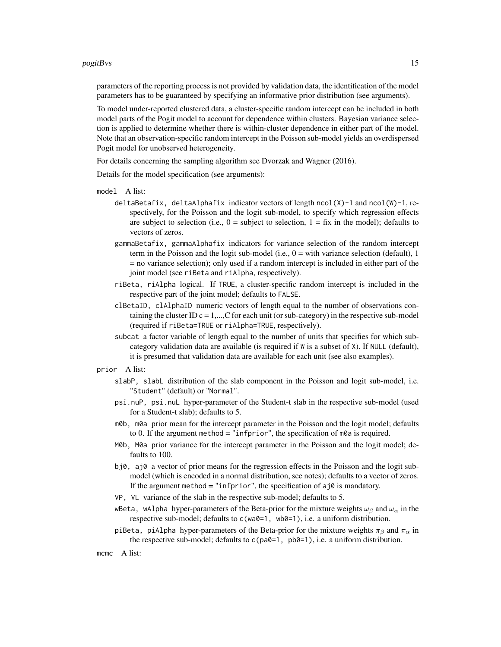# $pogitBvs$  and the contract of the contract of the contract of the contract of the contract of the contract of the contract of the contract of the contract of the contract of the contract of the contract of the contract of th

parameters of the reporting process is not provided by validation data, the identification of the model parameters has to be guaranteed by specifying an informative prior distribution (see arguments).

To model under-reported clustered data, a cluster-specific random intercept can be included in both model parts of the Pogit model to account for dependence within clusters. Bayesian variance selection is applied to determine whether there is within-cluster dependence in either part of the model. Note that an observation-specific random intercept in the Poisson sub-model yields an overdispersed Pogit model for unobserved heterogeneity.

For details concerning the sampling algorithm see Dvorzak and Wagner (2016).

Details for the model specification (see arguments):

- model A list:
	- deltaBetafix, deltaAlphafix indicator vectors of length ncol(X)-1 and ncol(W)-1, respectively, for the Poisson and the logit sub-model, to specify which regression effects are subject to selection (i.e.,  $0 =$  subject to selection,  $1 = fix$  in the model); defaults to vectors of zeros.
	- gammaBetafix, gammaAlphafix indicators for variance selection of the random intercept term in the Poisson and the logit sub-model (i.e.,  $0 =$  with variance selection (default), 1 = no variance selection); only used if a random intercept is included in either part of the joint model (see riBeta and riAlpha, respectively).
	- riBeta, riAlpha logical. If TRUE, a cluster-specific random intercept is included in the respective part of the joint model; defaults to FALSE.
	- clBetaID, clAlphaID numeric vectors of length equal to the number of observations containing the cluster ID  $c = 1, \ldots, C$  for each unit (or sub-category) in the respective sub-model (required if riBeta=TRUE or riAlpha=TRUE, respectively).
	- subcat a factor variable of length equal to the number of units that specifies for which subcategory validation data are available (is required if W is a subset of X). If NULL (default), it is presumed that validation data are available for each unit (see also examples).

# prior A list:

- slabP, slabL distribution of the slab component in the Poisson and logit sub-model, i.e. "Student" (default) or "Normal".
- psi.nuP, psi.nuL hyper-parameter of the Student-t slab in the respective sub-model (used for a Student-t slab); defaults to 5.
- m0b, m0a prior mean for the intercept parameter in the Poisson and the logit model; defaults to 0. If the argument method = "infprior", the specification of  $m\theta$ a is required.
- M0b, M0a prior variance for the intercept parameter in the Poisson and the logit model; defaults to 100.
- bj0, aj0 a vector of prior means for the regression effects in the Poisson and the logit submodel (which is encoded in a normal distribution, see notes); defaults to a vector of zeros. If the argument method = "infprior", the specification of  $aj\theta$  is mandatory.
- VP, VL variance of the slab in the respective sub-model; defaults to 5.
- wBeta, wAlpha hyper-parameters of the Beta-prior for the mixture weights  $\omega_\beta$  and  $\omega_\alpha$  in the respective sub-model; defaults to c(wa0=1, wb0=1), i.e. a uniform distribution.
- piBeta, piAlpha hyper-parameters of the Beta-prior for the mixture weights  $\pi_\beta$  and  $\pi_\alpha$  in the respective sub-model; defaults to  $c$ (pa0=1, pb0=1), i.e. a uniform distribution.

mcmc A list: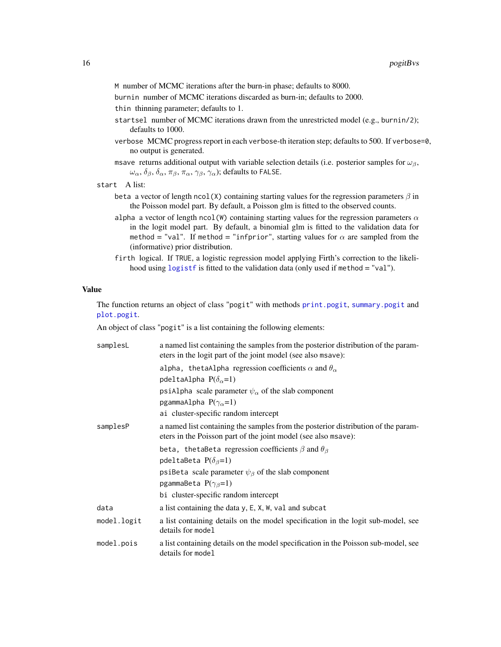- <span id="page-15-0"></span>M number of MCMC iterations after the burn-in phase; defaults to 8000.
- burnin number of MCMC iterations discarded as burn-in; defaults to 2000.
- thin thinning parameter; defaults to 1.
- startsel number of MCMC iterations drawn from the unrestricted model (e.g., burnin/2); defaults to 1000.
- verbose MCMC progress report in each verbose-th iteration step; defaults to 500. If verbose=0, no output is generated.
- msave returns additional output with variable selection details (i.e. posterior samples for  $\omega_{\beta}$ ,  $\omega_{\alpha}, \delta_{\beta}, \delta_{\alpha}, \pi_{\beta}, \pi_{\alpha}, \gamma_{\beta}, \gamma_{\alpha}$ ); defaults to FALSE.

```
start A list:
```
- beta a vector of length ncol(X) containing starting values for the regression parameters  $\beta$  in the Poisson model part. By default, a Poisson glm is fitted to the observed counts.
- alpha a vector of length ncol(W) containing starting values for the regression parameters  $\alpha$ in the logit model part. By default, a binomial glm is fitted to the validation data for method = "val". If method = "infprior", starting values for  $\alpha$  are sampled from the (informative) prior distribution.
- firth logical. If TRUE, a logistic regression model applying Firth's correction to the likelihood using [logistf](#page-0-0) is fitted to the validation data (only used if method = "val").

# Value

The function returns an object of class "pogit" with methods [print.pogit](#page-23-1), [summary.pogit](#page-27-1) and [plot.pogit](#page-11-1).

An object of class "pogit" is a list containing the following elements:

| samplesL    | a named list containing the samples from the posterior distribution of the param-<br>eters in the logit part of the joint model (see also msave):   |
|-------------|-----------------------------------------------------------------------------------------------------------------------------------------------------|
|             | alpha, thetaAlpha regression coefficients $\alpha$ and $\theta_{\alpha}$                                                                            |
|             | pdeltaAlpha $P(\delta_{\alpha}=1)$                                                                                                                  |
|             | psiAlpha scale parameter $\psi_{\alpha}$ of the slab component                                                                                      |
|             | pgammaAlpha $P(\gamma_{\alpha}=1)$                                                                                                                  |
|             | ai cluster-specific random intercept                                                                                                                |
| samplesP    | a named list containing the samples from the posterior distribution of the param-<br>eters in the Poisson part of the joint model (see also msave): |
|             | beta, the table ta regression coefficients $\beta$ and $\theta_{\beta}$                                                                             |
|             | pdeltaBeta $P(\delta_{\beta}=1)$                                                                                                                    |
|             | psiBeta scale parameter $\psi_{\beta}$ of the slab component                                                                                        |
|             | pgammaBeta $P(\gamma_{\beta}=1)$                                                                                                                    |
|             | bi cluster-specific random intercept                                                                                                                |
| data        | a list containing the data y, E, X, W, val and subcat                                                                                               |
| model.logit | a list containing details on the model specification in the logit sub-model, see<br>details for model                                               |
| model.pois  | a list containing details on the model specification in the Poisson sub-model, see<br>details for model                                             |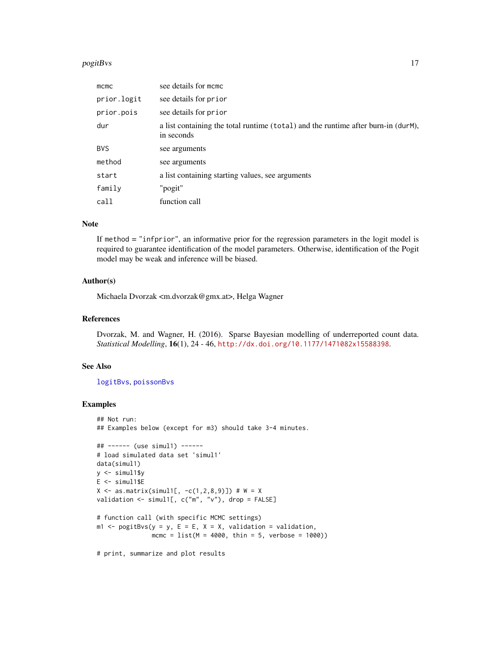# <span id="page-16-0"></span> $\log$ itBvs 17

| $m$ cmc     | see details for momo                                                                            |
|-------------|-------------------------------------------------------------------------------------------------|
| prior.logit | see details for prior                                                                           |
| prior.pois  | see details for prior                                                                           |
| dur         | a list containing the total runtime (total) and the runtime after burn-in (durM),<br>in seconds |
| <b>BVS</b>  | see arguments                                                                                   |
| method      | see arguments                                                                                   |
| start       | a list containing starting values, see arguments                                                |
| family      | "pogit"                                                                                         |
| call        | function call                                                                                   |

# Note

If method = "infprior", an informative prior for the regression parameters in the logit model is required to guarantee identification of the model parameters. Otherwise, identification of the Pogit model may be weak and inference will be biased.

# Author(s)

Michaela Dvorzak <m.dvorzak@gmx.at>, Helga Wagner

# References

Dvorzak, M. and Wagner, H. (2016). Sparse Bayesian modelling of underreported count data. *Statistical Modelling*, 16(1), 24 - 46, <http://dx.doi.org/10.1177/1471082x15588398>.

# See Also

[logitBvs](#page-4-1), [poissonBvs](#page-18-1)

# Examples

```
## Not run:
## Examples below (except for m3) should take 3-4 minutes.
## ------ (use simul1) ------
# load simulated data set 'simul1'
data(simul1)
y <- simul1$y
E <- simul1$E
X \le - as.matrix(simul1[, -c(1, 2, 8, 9)]) # W = X
validation \leq simul1[, c("m", "v"), drop = FALSE]
# function call (with specific MCMC settings)
m1 <- pogitBvs(y = y, E = E, X = X, validation = validation,mcmc = list(M = 4000, thin = 5, verbose = 1000))
```
# print, summarize and plot results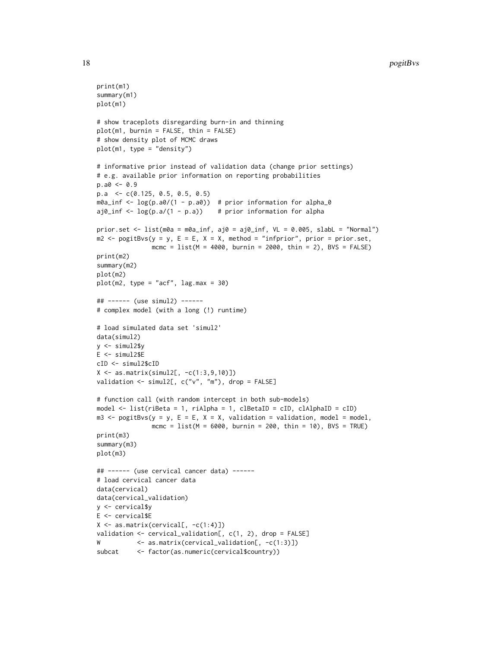```
print(m1)
summary(m1)
plot(m1)
# show traceplots disregarding burn-in and thinning
plot(m1, burnin = FALSE, thin = FALSE)
# show density plot of MCMC draws
plot(m1, type = "density")
# informative prior instead of validation data (change prior settings)
# e.g. available prior information on reporting probabilities
p.a0 < -0.9p.a <- c(0.125, 0.5, 0.5, 0.5)
m0a_inf <- log(p.a0/(1 - p.a0)) # prior information for alpha_0
aj\emptyset_inf <- \log(p.a/(1 - p.a)) # prior information for alpha
prior.set <- list(m0a = m0a_inf, aj0 = aj0_inf, VL = 0.005, slabL = "Normal")
m2 \leq-pogitBvs(y = y, E = E, X = X, method = "information", prior = prior.set,mcmc = list(M = 4000, burnin = 2000, thin = 2), BVS = FALSE)print(m2)
summary(m2)
plot(m2)
plot(m2, type = "acf", lag.max = 30)## ------ (use simul2) ------
# complex model (with a long (!) runtime)
# load simulated data set 'simul2'
data(simul2)
y <- simul2$y
E <- simul2$E
cID <- simul2$cID
X \leftarrow \text{as_matrix}(\text{simul2}[, -c(1:3,9,10)])validation <- simul2[, c("v", "m"), drop = FALSE]
# function call (with random intercept in both sub-models)
model <- list(riBeta = 1, riAlpha = 1, clBetaID = cID, clAlphaID = cID)
m3 \leq -\text{pogitBvs}(y = y, E = E, X = X, \text{ validation} = \text{validation}, \text{ model} = \text{model},mcmc = list(M = 6000, burnin = 200, thin = 10), BVS = TRUE)print(m3)
summary(m3)
plot(m3)
## ------ (use cervical cancer data) ------
# load cervical cancer data
data(cervical)
data(cervical_validation)
y <- cervical$y
E <- cervical$E
X \leftarrow \text{as_matrix}(\text{cervical}[, -c(1:4)])validation <- cervical_validation[, c(1, 2), drop = FALSE]
W <- as.matrix(cervical_validation[, -c(1:3)])
subcat <- factor(as.numeric(cervical$country))
```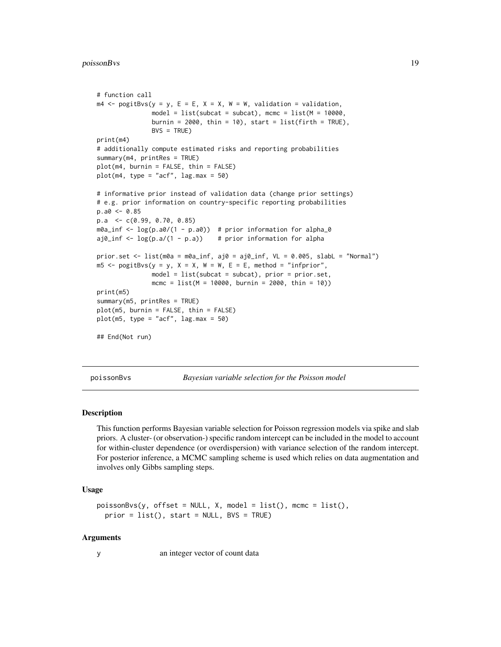```
# function call
m4 \leq -\text{pogitBvs}(y = y, E = E, X = X, W = W, \text{ validation} = \text{validation},model = list(subcat = subcat), mcmc = list(M = 10000,
               burnin = 2000, thin = 10), start = list(firth = TRUE),
               BVS = TRUEprint(m4)
# additionally compute estimated risks and reporting probabilities
summary(m4, printRes = TRUE)
plot(m4, burnin = FALSE, thin = FALSE)
plot(m4, type = "acf", lag.max = 50)# informative prior instead of validation data (change prior settings)
# e.g. prior information on country-specific reporting probabilities
p.a0 < -0.85p.a <- c(0.99, 0.70, 0.85)
m0a_inf <- log(p.a0/(1 - p.a0)) # prior information for alpha_0
aj\emptyset _{inf} <- \log(p.a/(1 - p.a)) # prior information for alpha
prior.set \leq list(m0a = m0a_inf, aj0 = aj0_inf, VL = 0.005, slabL = "Normal")
m5 \leq -\text{pogitBvs}(y = y, X = X, W = W, E = E, method = "infprior",model = list(subcat = subcat), prior = prior.set,mcmc = list(M = 10000, burnin = 2000, thin = 10))print(m5)
summary(m5, printRes = TRUE)
plot(m5, burnin = FALSE, thin = FALSE)
plot(m5, type = "acf", lag.max = 50)## End(Not run)
```
<span id="page-18-1"></span>poissonBvs *Bayesian variable selection for the Poisson model*

# **Description**

This function performs Bayesian variable selection for Poisson regression models via spike and slab priors. A cluster- (or observation-) specific random intercept can be included in the model to account for within-cluster dependence (or overdispersion) with variance selection of the random intercept. For posterior inference, a MCMC sampling scheme is used which relies on data augmentation and involves only Gibbs sampling steps.

# Usage

```
poissonBvs(y, offset = NULL, X, model = list(), mcmc = list(),prior = list(), start = NULL, BVS = TRUE)
```
# Arguments

y an integer vector of count data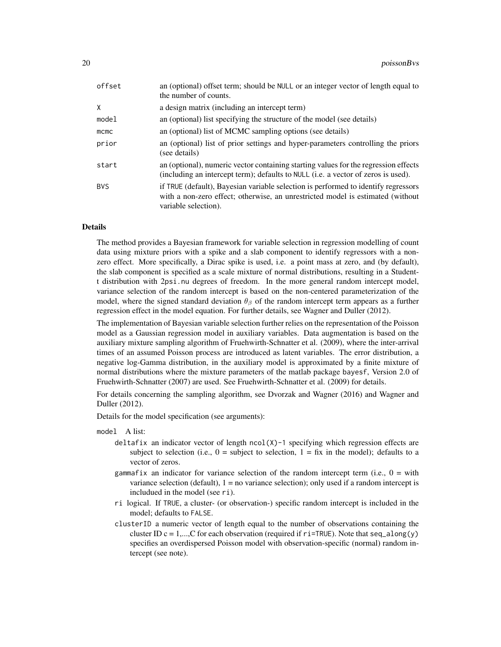| offset | an (optional) offset term; should be NULL or an integer vector of length equal to<br>the number of counts.                                                                                   |
|--------|----------------------------------------------------------------------------------------------------------------------------------------------------------------------------------------------|
| χ      | a design matrix (including an intercept term)                                                                                                                                                |
| model  | an (optional) list specifying the structure of the model (see details)                                                                                                                       |
| mcmc   | an (optional) list of MCMC sampling options (see details)                                                                                                                                    |
| prior  | an (optional) list of prior settings and hyper-parameters controlling the priors<br>(see details)                                                                                            |
| start  | an (optional), numeric vector containing starting values for the regression effects<br>(including an intercept term); defaults to NULL (i.e. a vector of zeros is used).                     |
| BVS    | if TRUE (default), Bayesian variable selection is performed to identify regressors<br>with a non-zero effect; otherwise, an unrestricted model is estimated (without<br>variable selection). |

# Details

The method provides a Bayesian framework for variable selection in regression modelling of count data using mixture priors with a spike and a slab component to identify regressors with a nonzero effect. More specifically, a Dirac spike is used, i.e. a point mass at zero, and (by default), the slab component is specified as a scale mixture of normal distributions, resulting in a Studentt distribution with 2psi.nu degrees of freedom. In the more general random intercept model, variance selection of the random intercept is based on the non-centered parameterization of the model, where the signed standard deviation  $\theta_\beta$  of the random intercept term appears as a further regression effect in the model equation. For further details, see Wagner and Duller (2012).

The implementation of Bayesian variable selection further relies on the representation of the Poisson model as a Gaussian regression model in auxiliary variables. Data augmentation is based on the auxiliary mixture sampling algorithm of Fruehwirth-Schnatter et al. (2009), where the inter-arrival times of an assumed Poisson process are introduced as latent variables. The error distribution, a negative log-Gamma distribution, in the auxiliary model is approximated by a finite mixture of normal distributions where the mixture parameters of the matlab package bayesf, Version 2.0 of Fruehwirth-Schnatter (2007) are used. See Fruehwirth-Schnatter et al. (2009) for details.

For details concerning the sampling algorithm, see Dvorzak and Wagner (2016) and Wagner and Duller (2012).

Details for the model specification (see arguments):

model A list:

- deltafix an indicator vector of length  $ncol(X)-1$  specifying which regression effects are subject to selection (i.e.,  $0 =$  subject to selection,  $1 = fix$  in the model); defaults to a vector of zeros.
- gammafix an indicator for variance selection of the random intercept term (i.e.,  $0 = \text{with}$ ) variance selection (default),  $1 = no$  variance selection); only used if a random intercept is includued in the model (see ri).
- ri logical. If TRUE, a cluster- (or observation-) specific random intercept is included in the model; defaults to FALSE.
- clusterID a numeric vector of length equal to the number of observations containing the cluster ID c = 1,...,C for each observation (required if  $ri$ =TRUE). Note that seq\_along(y) specifies an overdispersed Poisson model with observation-specific (normal) random intercept (see note).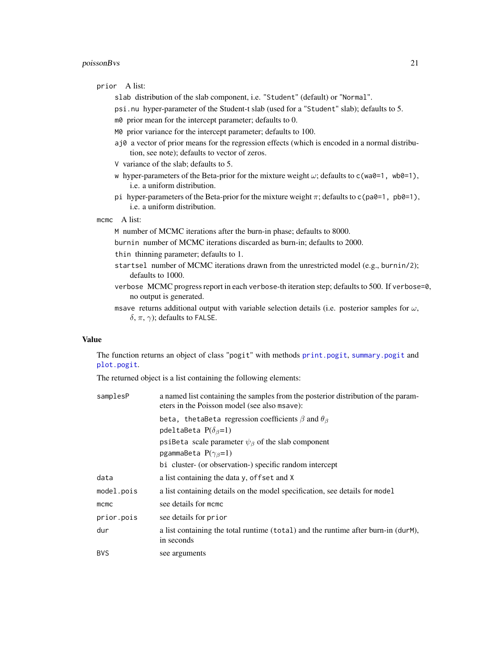# <span id="page-20-0"></span>poissonBvs 21

prior A list:

- slab distribution of the slab component, i.e. "Student" (default) or "Normal".
- psi.nu hyper-parameter of the Student-t slab (used for a "Student" slab); defaults to 5.
- m0 prior mean for the intercept parameter; defaults to 0.
- M0 prior variance for the intercept parameter; defaults to 100.
- aj0 a vector of prior means for the regression effects (which is encoded in a normal distribution, see note); defaults to vector of zeros.
- V variance of the slab; defaults to 5.
- w hyper-parameters of the Beta-prior for the mixture weight  $\omega$ ; defaults to c(wa0=1, wb0=1), i.e. a uniform distribution.
- pi hyper-parameters of the Beta-prior for the mixture weight  $\pi$ ; defaults to c(pa0=1, pb0=1), i.e. a uniform distribution.

mcmc A list:

M number of MCMC iterations after the burn-in phase; defaults to 8000.

burnin number of MCMC iterations discarded as burn-in; defaults to 2000.

- thin thinning parameter; defaults to 1.
- startsel number of MCMC iterations drawn from the unrestricted model (e.g., burnin/2); defaults to 1000.
- verbose MCMC progress report in each verbose-th iteration step; defaults to 500. If verbose=0, no output is generated.
- msave returns additional output with variable selection details (i.e. posterior samples for  $\omega$ , δ, π,  $\gamma$ ); defaults to FALSE.

# Value

The function returns an object of class "pogit" with methods [print.pogit](#page-23-1), [summary.pogit](#page-27-1) and [plot.pogit](#page-11-1).

The returned object is a list containing the following elements:

| a named list containing the samples from the posterior distribution of the param-<br>eters in the Poisson model (see also msave): |
|-----------------------------------------------------------------------------------------------------------------------------------|
| beta, the table ta regression coefficients $\beta$ and $\theta_{\beta}$                                                           |
| pdeltaBeta $P(\delta_{\beta}=1)$                                                                                                  |
| psiBeta scale parameter $\psi_{\beta}$ of the slab component                                                                      |
| pgammaBeta $P(\gamma_{\beta}=1)$                                                                                                  |
| bi cluster- (or observation-) specific random intercept                                                                           |
| a list containing the data y, offset and X                                                                                        |
| a list containing details on the model specification, see details for model                                                       |
| see details for momo                                                                                                              |
| see details for prior                                                                                                             |
| a list containing the total runtime (total) and the runtime after burn-in (durM),<br>in seconds                                   |
| see arguments                                                                                                                     |
|                                                                                                                                   |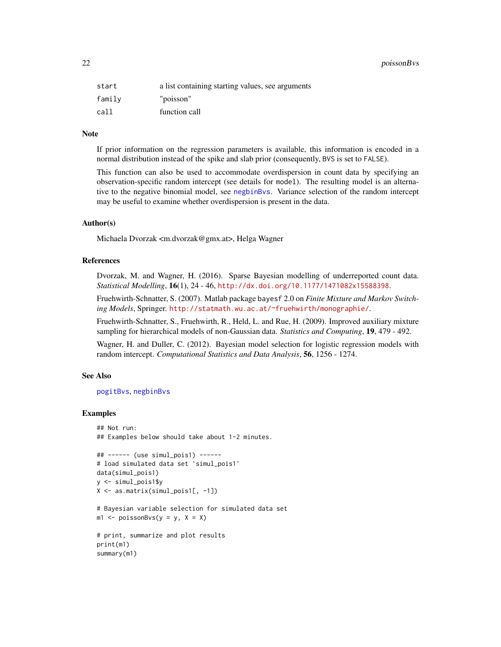<span id="page-21-0"></span>

| start  | a list containing starting values, see arguments |
|--------|--------------------------------------------------|
| family | "poisson"                                        |
| call   | function call                                    |

# Note

If prior information on the regression parameters is available, this information is encoded in a normal distribution instead of the spike and slab prior (consequently, BVS is set to FALSE).

This function can also be used to accommodate overdispersion in count data by specifying an observation-specific random intercept (see details for model). The resulting model is an alternative to the negative binomial model, see [negbinBvs](#page-7-1). Variance selection of the random intercept may be useful to examine whether overdispersion is present in the data.

# Author(s)

Michaela Dvorzak <m.dvorzak@gmx.at>, Helga Wagner

# References

Dvorzak, M. and Wagner, H. (2016). Sparse Bayesian modelling of underreported count data. *Statistical Modelling*, 16(1), 24 - 46, <http://dx.doi.org/10.1177/1471082x15588398>.

Fruehwirth-Schnatter, S. (2007). Matlab package bayesf 2.0 on *Finite Mixture and Markov Switching Models*, Springer. <http://statmath.wu.ac.at/~fruehwirth/monographie/>.

Fruehwirth-Schnatter, S., Fruehwirth, R., Held, L. and Rue, H. (2009). Improved auxiliary mixture sampling for hierarchical models of non-Gaussian data. *Statistics and Computing*, 19, 479 - 492.

Wagner, H. and Duller, C. (2012). Bayesian model selection for logistic regression models with random intercept. *Computational Statistics and Data Analysis*, 56, 1256 - 1274.

# See Also

[pogitBvs](#page-12-1), [negbinBvs](#page-7-1)

# Examples

```
## Not run:
## Examples below should take about 1-2 minutes.
## ------ (use simul_pois1) ------
# load simulated data set 'simul_pois1'
data(simul_pois1)
y <- simul_pois1$y
X <- as.matrix(simul_pois1[, -1])
# Bayesian variable selection for simulated data set
m1 \leq -\text{poissonBvs}(y = y, X = X)# print, summarize and plot results
print(m1)
summary(m1)
```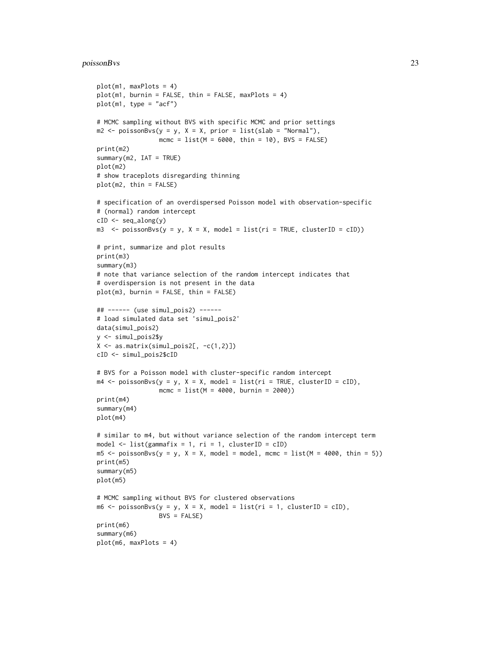# poissonBvs 23

```
plot(m1, maxPlots = 4)
plot(m1, burnin = FALSE, thin = FALSE, maxPlots = 4)plot(m1, type = "acf")# MCMC sampling without BVS with specific MCMC and prior settings
m2 \leq - poissonBvs(y = y, X = X, prior = list(slab = "Normal"),
                 mcmc = list(M = 6000, thin = 10), BVS = FALSE)
print(m2)
summary(m2, IAT = TRUE)plot(m2)
# show traceplots disregarding thinning
plot(m2, thin = FALSE)
# specification of an overdispersed Poisson model with observation-specific
# (normal) random intercept
cID <- seq_along(y)
m3 \le poissonBvs(y = y, X = X, model = list(ri = TRUE, clusterID = cID))
# print, summarize and plot results
print(m3)
summary(m3)
# note that variance selection of the random intercept indicates that
# overdispersion is not present in the data
plot(m3, burnin = FALSE, thin = FALSE)
## ------ (use simul_pois2) ------
# load simulated data set 'simul_pois2'
data(simul_pois2)
y <- simul_pois2$y
X \leftarrow \text{as_matrix}(\text{simul\_pois2[, -c(1,2)]})cID <- simul_pois2$cID
# BVS for a Poisson model with cluster-specific random intercept
m4 \leq - \text{poissonBvs}(y = y, X = X, \text{ model} = list(ri = TRUE, clusterID = cID),mcmc = list(M = 4000, burnin = 2000))
print(m4)
summary(m4)
plot(m4)
# similar to m4, but without variance selection of the random intercept term
model \le list(gammafix = 1, ri = 1, clusterID = cID)
m5 <- poissonBvs(y = y, X = X, model = model, mcmc = list(M = 4000, thin = 5))
print(m5)
summary(m5)
plot(m5)
# MCMC sampling without BVS for clustered observations
m6 \leq - poissonBvs(y = y, X = X, model = list(ri = 1, clusterID = cID),
                 BVS = FALSEprint(m6)
summary(m6)
plot(m6, maxPlots = 4)
```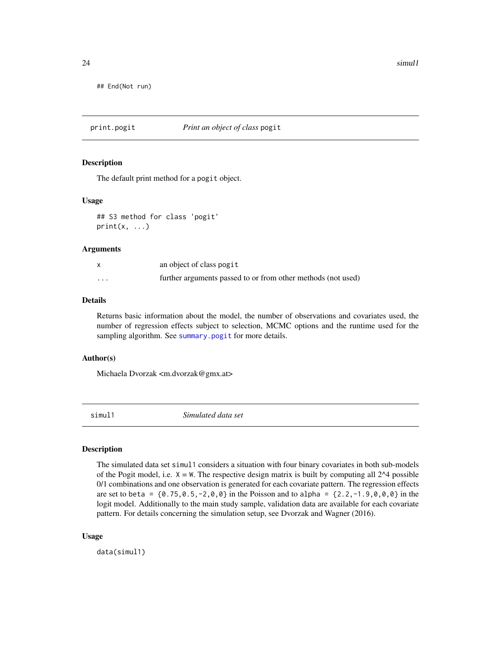<span id="page-23-0"></span> $24$  simul1

## End(Not run)

<span id="page-23-1"></span>print.pogit *Print an object of class* pogit

# Description

The default print method for a pogit object.

# Usage

## S3 method for class 'pogit'  $print(x, \ldots)$ 

# Arguments

|         | an object of class pogit                                     |
|---------|--------------------------------------------------------------|
| $\cdot$ | further arguments passed to or from other methods (not used) |

# Details

Returns basic information about the model, the number of observations and covariates used, the number of regression effects subject to selection, MCMC options and the runtime used for the sampling algorithm. See [summary.pogit](#page-27-1) for more details.

# Author(s)

Michaela Dvorzak <m.dvorzak@gmx.at>

simul1 *Simulated data set*

# Description

The simulated data set simul1 considers a situation with four binary covariates in both sub-models of the Pogit model, i.e.  $X = W$ . The respective design matrix is built by computing all 2<sup> $\Delta$ 4</sup> possible 0/1 combinations and one observation is generated for each covariate pattern. The regression effects are set to beta =  ${0.75, 0.5, -2, 0, 0}$  in the Poisson and to alpha =  ${2.2, -1.9, 0, 0, 0}$  in the logit model. Additionally to the main study sample, validation data are available for each covariate pattern. For details concerning the simulation setup, see Dvorzak and Wagner (2016).

# Usage

data(simul1)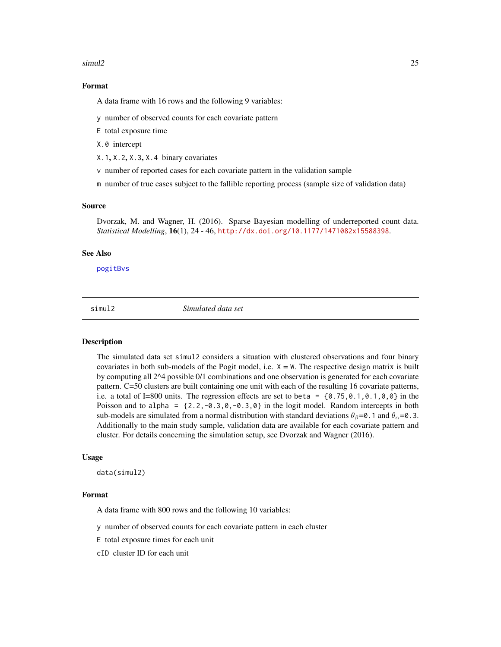# <span id="page-24-0"></span>simul2 25

# Format

A data frame with 16 rows and the following 9 variables:

y number of observed counts for each covariate pattern

E total exposure time

X.0 intercept

X.1, X.2, X.3, X.4 binary covariates

v number of reported cases for each covariate pattern in the validation sample

m number of true cases subject to the fallible reporting process (sample size of validation data)

# Source

Dvorzak, M. and Wagner, H. (2016). Sparse Bayesian modelling of underreported count data. *Statistical Modelling*, 16(1), 24 - 46, <http://dx.doi.org/10.1177/1471082x15588398>.

# See Also

[pogitBvs](#page-12-1)

simul2 *Simulated data set*

# Description

The simulated data set simul2 considers a situation with clustered observations and four binary covariates in both sub-models of the Pogit model, i.e.  $X = W$ . The respective design matrix is built by computing all 2^4 possible 0/1 combinations and one observation is generated for each covariate pattern. C=50 clusters are built containing one unit with each of the resulting 16 covariate patterns, i.e. a total of I=800 units. The regression effects are set to beta =  $\{0.75, 0.1, 0.1, 0, 0\}$  in the Poisson and to alpha =  $\{2.2, -0.3, 0, -0.3, 0\}$  in the logit model. Random intercepts in both sub-models are simulated from a normal distribution with standard deviations  $\theta_{\beta} = 0.1$  and  $\theta_{\alpha} = 0.3$ . Additionally to the main study sample, validation data are available for each covariate pattern and cluster. For details concerning the simulation setup, see Dvorzak and Wagner (2016).

#### Usage

data(simul2)

#### Format

A data frame with 800 rows and the following 10 variables:

y number of observed counts for each covariate pattern in each cluster

E total exposure times for each unit

cID cluster ID for each unit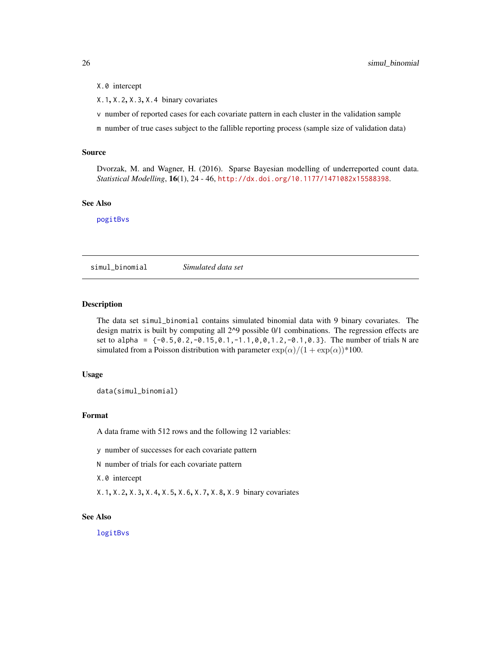# <span id="page-25-0"></span>X.0 intercept

 $X.1, X.2, X.3, X.4$  binary covariates

- v number of reported cases for each covariate pattern in each cluster in the validation sample
- m number of true cases subject to the fallible reporting process (sample size of validation data)

#### Source

Dvorzak, M. and Wagner, H. (2016). Sparse Bayesian modelling of underreported count data. *Statistical Modelling*, 16(1), 24 - 46, <http://dx.doi.org/10.1177/1471082x15588398>.

# See Also

[pogitBvs](#page-12-1)

simul\_binomial *Simulated data set*

# Description

The data set simul\_binomial contains simulated binomial data with 9 binary covariates. The design matrix is built by computing all 2^9 possible 0/1 combinations. The regression effects are set to alpha = {-0.5,0.2,-0.15,0.1,-1.1,0,0,1.2,-0.1,0.3}. The number of trials N are simulated from a Poisson distribution with parameter  $\exp(\alpha)/(1 + \exp(\alpha))^*100$ .

## Usage

data(simul\_binomial)

# Format

A data frame with 512 rows and the following 12 variables:

y number of successes for each covariate pattern

N number of trials for each covariate pattern

X.0 intercept

X.1, X.2, X.3, X.4, X.5, X.6, X.7, X.8, X.9 binary covariates

# See Also

[logitBvs](#page-4-1)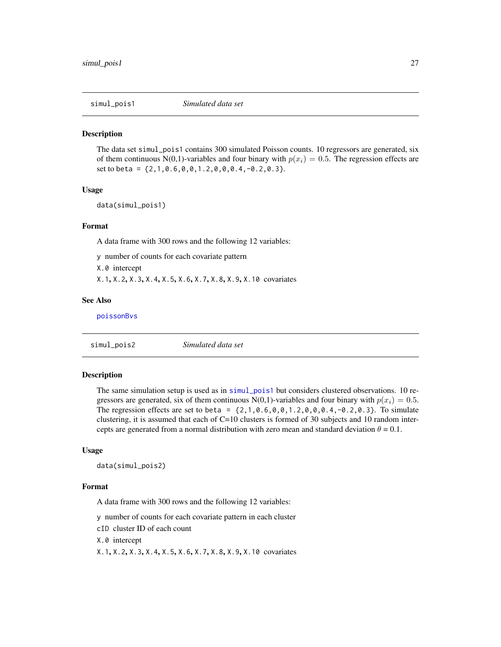<span id="page-26-1"></span><span id="page-26-0"></span>

# **Description**

The data set simul\_pois1 contains 300 simulated Poisson counts. 10 regressors are generated, six of them continuous N(0,1)-variables and four binary with  $p(x_i) = 0.5$ . The regression effects are set to beta = {2,1,0.6,0,0,1.2,0,0,0.4,-0.2,0.3}.

# Usage

data(simul\_pois1)

# Format

A data frame with 300 rows and the following 12 variables:

y number of counts for each covariate pattern

X.0 intercept

X.1, X.2, X.3, X.4, X.5, X.6, X.7, X.8, X.9, X.10 covariates

# See Also

[poissonBvs](#page-18-1)

simul\_pois2 *Simulated data set*

# Description

The same simulation setup is used as in [simul\\_pois1](#page-26-1) but considers clustered observations. 10 regressors are generated, six of them continuous N(0,1)-variables and four binary with  $p(x_i) = 0.5$ . The regression effects are set to beta =  $\{2, 1, 0.6, 0, 0, 1.2, 0, 0, 0.4, -0.2, 0.3\}$ . To simulate clustering, it is assumed that each of C=10 clusters is formed of 30 subjects and 10 random intercepts are generated from a normal distribution with zero mean and standard deviation  $\theta = 0.1$ .

# Usage

data(simul\_pois2)

#### Format

A data frame with 300 rows and the following 12 variables:

y number of counts for each covariate pattern in each cluster

cID cluster ID of each count

X.0 intercept

X.1, X.2, X.3, X.4, X.5, X.6, X.7, X.8, X.9, X.10 covariates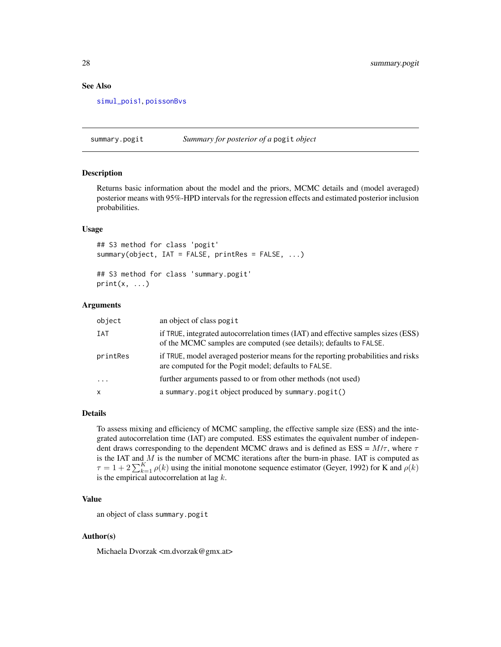# See Also

[simul\\_pois1](#page-26-1), [poissonBvs](#page-18-1)

<span id="page-27-1"></span>summary.pogit *Summary for posterior of a* pogit *object*

# Description

Returns basic information about the model and the priors, MCMC details and (model averaged) posterior means with 95%-HPD intervals for the regression effects and estimated posterior inclusion probabilities.

# Usage

```
## S3 method for class 'pogit'
summary(object, IAT = FALSE, printRes = FALSE, ...)
```
## S3 method for class 'summary.pogit'  $print(x, \ldots)$ 

# Arguments

| object              | an object of class pogit                                                                                                                                |
|---------------------|---------------------------------------------------------------------------------------------------------------------------------------------------------|
| IAT                 | if TRUE, integrated autocorrelation times (IAT) and effective samples sizes (ESS)<br>of the MCMC samples are computed (see details); defaults to FALSE. |
| printRes            | if TRUE, model averaged posterior means for the reporting probabilities and risks<br>are computed for the Pogit model; defaults to FALSE.               |
| $\cdot \cdot \cdot$ | further arguments passed to or from other methods (not used)                                                                                            |
| $\times$            | a summary.pogit object produced by summary.pogit()                                                                                                      |

# Details

To assess mixing and efficiency of MCMC sampling, the effective sample size (ESS) and the integrated autocorrelation time (IAT) are computed. ESS estimates the equivalent number of independent draws corresponding to the dependent MCMC draws and is defined as ESS =  $M/\tau$ , where  $\tau$ is the IAT and  $M$  is the number of MCMC iterations after the burn-in phase. IAT is computed as  $\tau = 1 + 2 \sum_{k=1}^{K} \rho(k)$  using the initial monotone sequence estimator (Geyer, 1992) for K and  $\rho(k)$ is the empirical autocorrelation at lag  $k$ .

# Value

an object of class summary.pogit

# Author(s)

Michaela Dvorzak <m.dvorzak@gmx.at>

<span id="page-27-0"></span>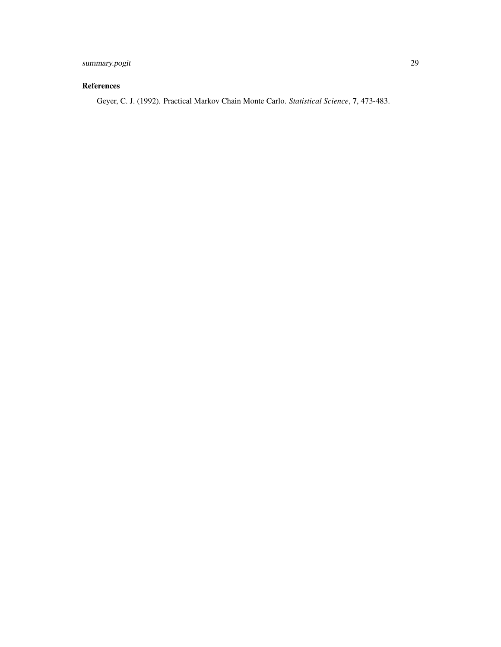# summary.pogit 29

# References

Geyer, C. J. (1992). Practical Markov Chain Monte Carlo. *Statistical Science*, 7, 473-483.